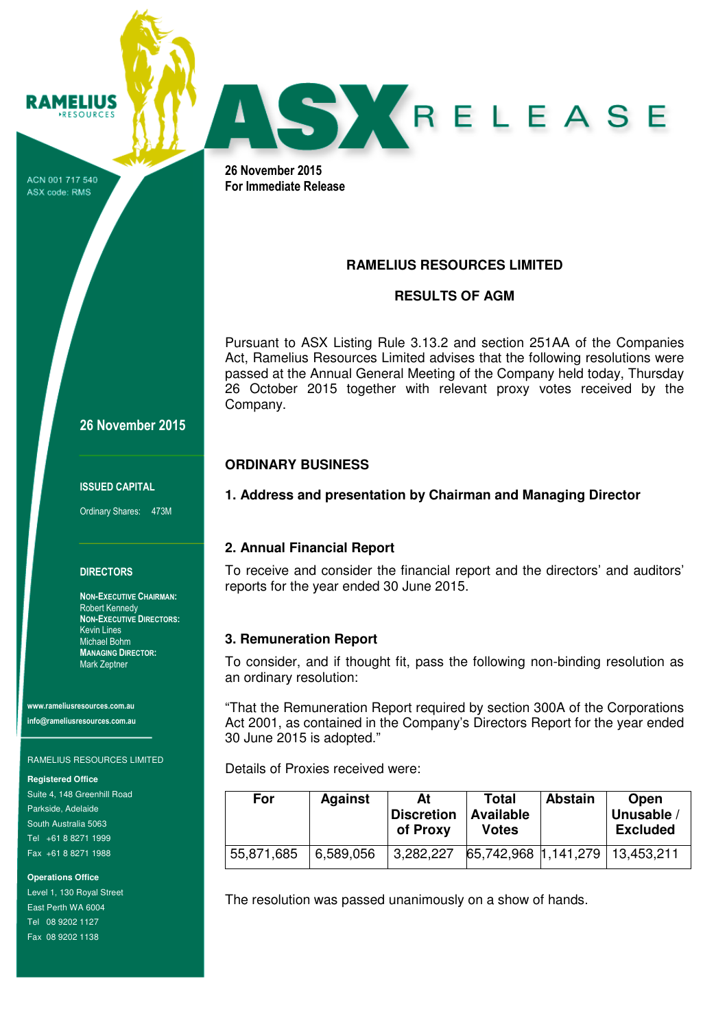ACN 001 717 540 ASX code: RMS

**RAMELIUS RESOURCES** 



26 November 2015 For Immediate Release

# **RAMELIUS RESOURCES LIMITED**

## **RESULTS OF AGM**

Pursuant to ASX Listing Rule 3.13.2 and section 251AA of the Companies Act, Ramelius Resources Limited advises that the following resolutions were passed at the Annual General Meeting of the Company held today, Thursday 26 October 2015 together with relevant proxy votes received by the Company.

## **ORDINARY BUSINESS**

**1. Address and presentation by Chairman and Managing Director** 

## **2. Annual Financial Report**

To receive and consider the financial report and the directors' and auditors' reports for the year ended 30 June 2015.

## **3. Remuneration Report**

To consider, and if thought fit, pass the following non-binding resolution as an ordinary resolution:

"That the Remuneration Report required by section 300A of the Corporations Act 2001, as contained in the Company's Directors Report for the year ended 30 June 2015 is adopted."

Details of Proxies received were:

| For        | <b>Against</b> | At<br><b>Discretion</b><br>of Proxy | Total<br>Available<br><b>Votes</b> | <b>Abstain</b> | Open<br>Unusable /<br><b>Excluded</b> |
|------------|----------------|-------------------------------------|------------------------------------|----------------|---------------------------------------|
| 55,871,685 | 6,589,056      | 3,282,227                           | 65,742,968 1,141,279 13,453,211    |                |                                       |

The resolution was passed unanimously on a show of hands.

26 November 2015

#### ISSUED CAPITAL

Ordinary Shares: 473M

### **DIRECTORS**

NON-EXECUTIVE CHAIRMAN: Robert Kennedy NON-EXECUTIVE DIRECTORS: Kevin Lines Michael Bohm MANAGING DIRECTOR: Mark Zeptner

www.rameliusresources.com.au info@rameliusresources.com.au

### RAMELIUS RESOURCES LIMITED

**Registered Office** 

Suite 4, 148 Greenhill Road Parkside, Adelaide South Australia 5063 Tel +61 8 8271 1999 Fax +61 8 8271 1988

**Operations Office** 

Level 1, 130 Royal Street East Perth WA 6004 Tel 08 9202 1127 Fax 08 9202 1138